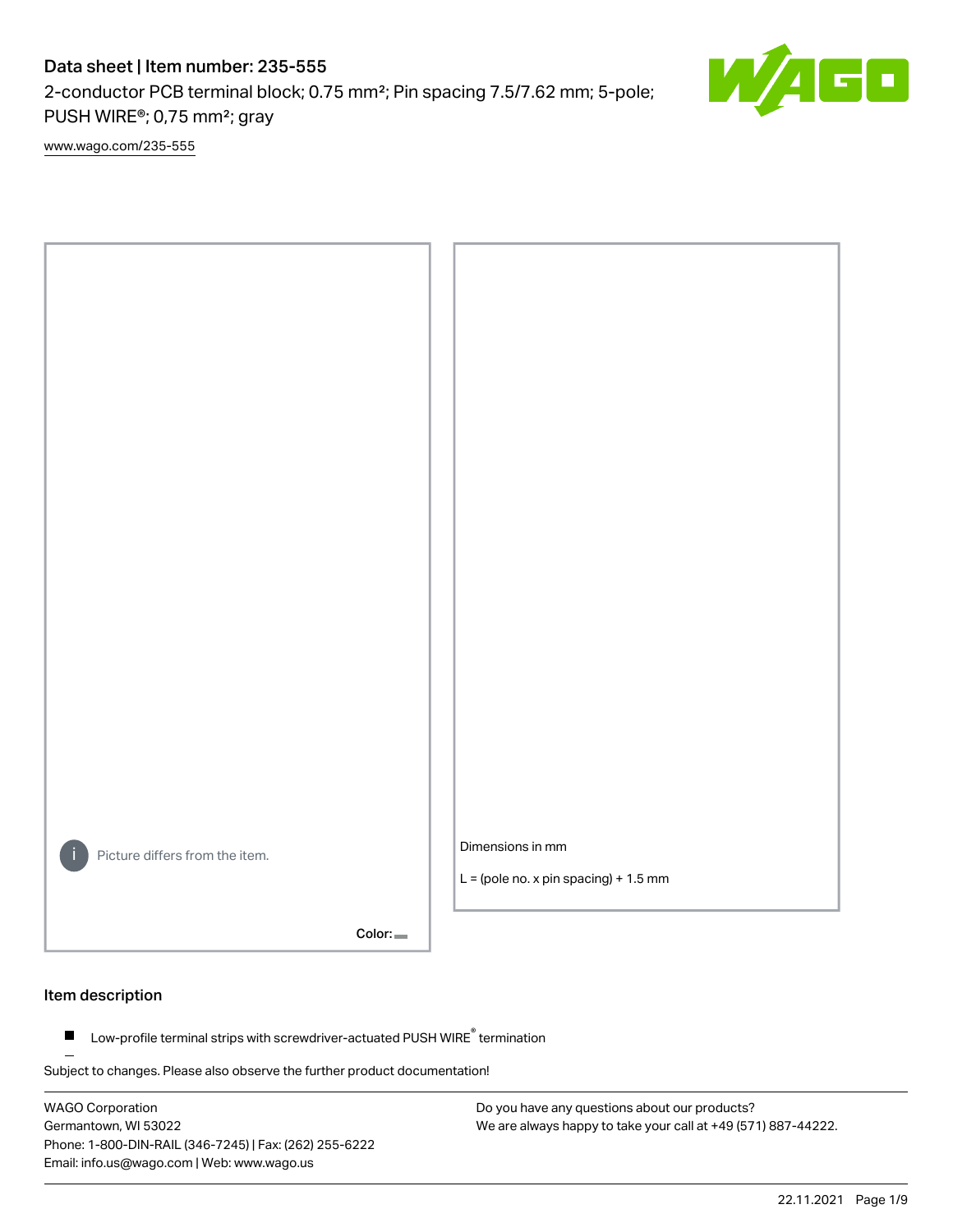2-conductor PCB terminal block; 0.75 mm²; Pin spacing 7.5/7.62 mm; 5-pole; PUSH WIRE®; 0,75 mm²; gray

[www.wago.com/235-555](http://www.wago.com/235-555)



Color:

## Item description

Low-profile terminal strips with screwdriver-actuated PUSH WIRE® termination  $\blacksquare$ 

Subject to changes. Please also observe the further product documentation!

WAGO Corporation Germantown, WI 53022 Phone: 1-800-DIN-RAIL (346-7245) | Fax: (262) 255-6222 Email: info.us@wago.com | Web: www.wago.us

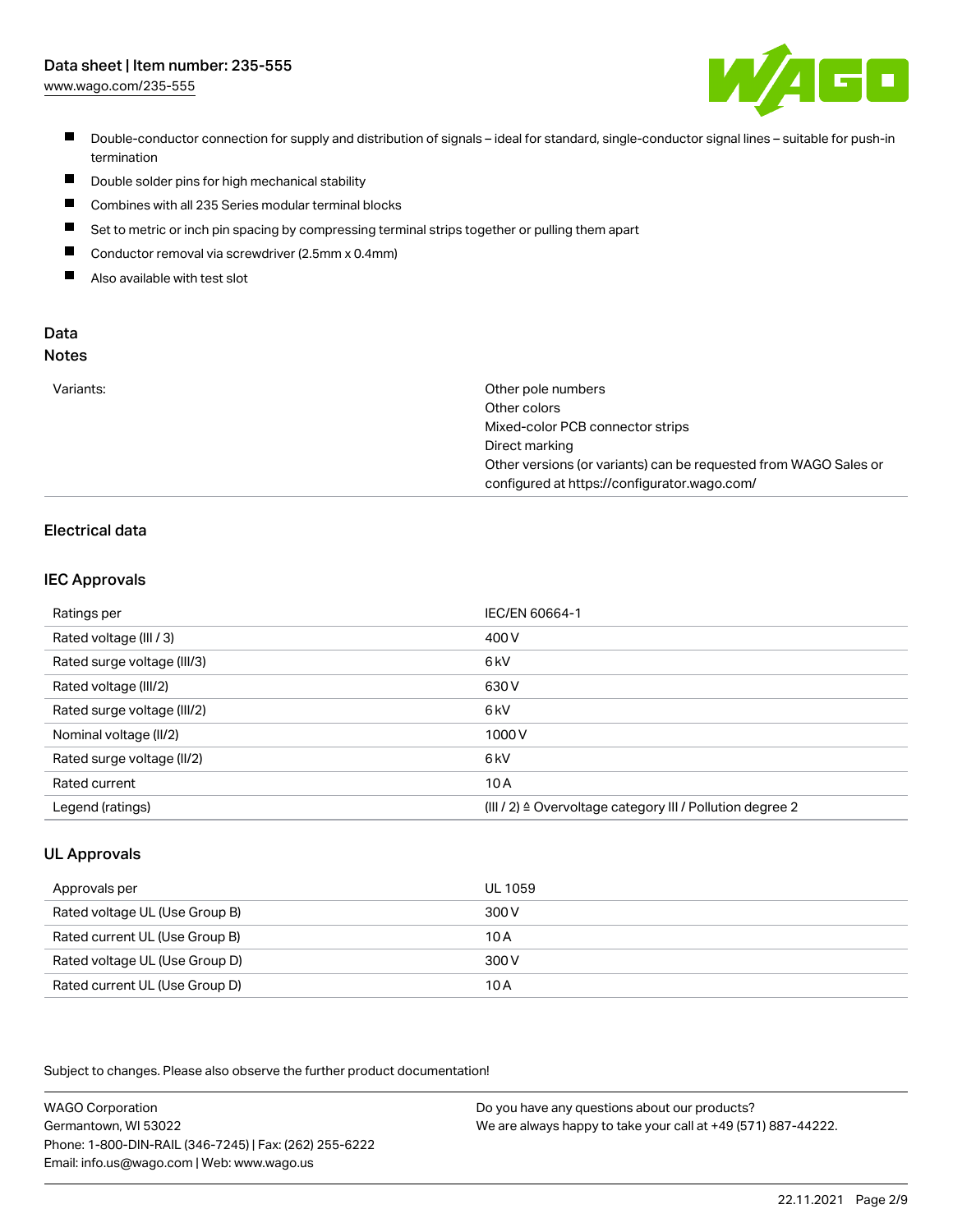[www.wago.com/235-555](http://www.wago.com/235-555)



- Double-conductor connection for supply and distribution of signals ideal for standard, single-conductor signal lines suitable for push-in termination
- $\blacksquare$ Double solder pins for high mechanical stability
- $\blacksquare$ Combines with all 235 Series modular terminal blocks
- П Set to metric or inch pin spacing by compressing terminal strips together or pulling them apart
- $\blacksquare$ Conductor removal via screwdriver (2.5mm x 0.4mm)
- $\blacksquare$ Also available with test slot

#### Data Notes

|  | ۰.<br>w<br>v | ×<br>۰. | I<br>.,<br>۰. | ×<br>۰. |  |
|--|--------------|---------|---------------|---------|--|
|  |              |         |               |         |  |
|  |              |         |               |         |  |
|  |              |         |               |         |  |

| Variants: | Other pole numbers                                               |
|-----------|------------------------------------------------------------------|
|           | Other colors                                                     |
|           | Mixed-color PCB connector strips                                 |
|           | Direct marking                                                   |
|           | Other versions (or variants) can be requested from WAGO Sales or |
|           | configured at https://configurator.wago.com/                     |

# Electrical data

## IEC Approvals

| Ratings per                 | IEC/EN 60664-1                                                        |
|-----------------------------|-----------------------------------------------------------------------|
| Rated voltage (III / 3)     | 400 V                                                                 |
| Rated surge voltage (III/3) | 6 <sub>k</sub> V                                                      |
| Rated voltage (III/2)       | 630 V                                                                 |
| Rated surge voltage (III/2) | 6 <sub>k</sub> V                                                      |
| Nominal voltage (II/2)      | 1000 V                                                                |
| Rated surge voltage (II/2)  | 6 <sub>k</sub> V                                                      |
| Rated current               | 10A                                                                   |
| Legend (ratings)            | $(III / 2)$ $\triangle$ Overvoltage category III / Pollution degree 2 |

## UL Approvals

| Approvals per                  | UL 1059 |
|--------------------------------|---------|
| Rated voltage UL (Use Group B) | 300 V   |
| Rated current UL (Use Group B) | 10 A    |
| Rated voltage UL (Use Group D) | 300 V   |
| Rated current UL (Use Group D) | 10A     |

Subject to changes. Please also observe the further product documentation!

WAGO Corporation Germantown, WI 53022 Phone: 1-800-DIN-RAIL (346-7245) | Fax: (262) 255-6222 Email: info.us@wago.com | Web: www.wago.us Do you have any questions about our products? We are always happy to take your call at +49 (571) 887-44222.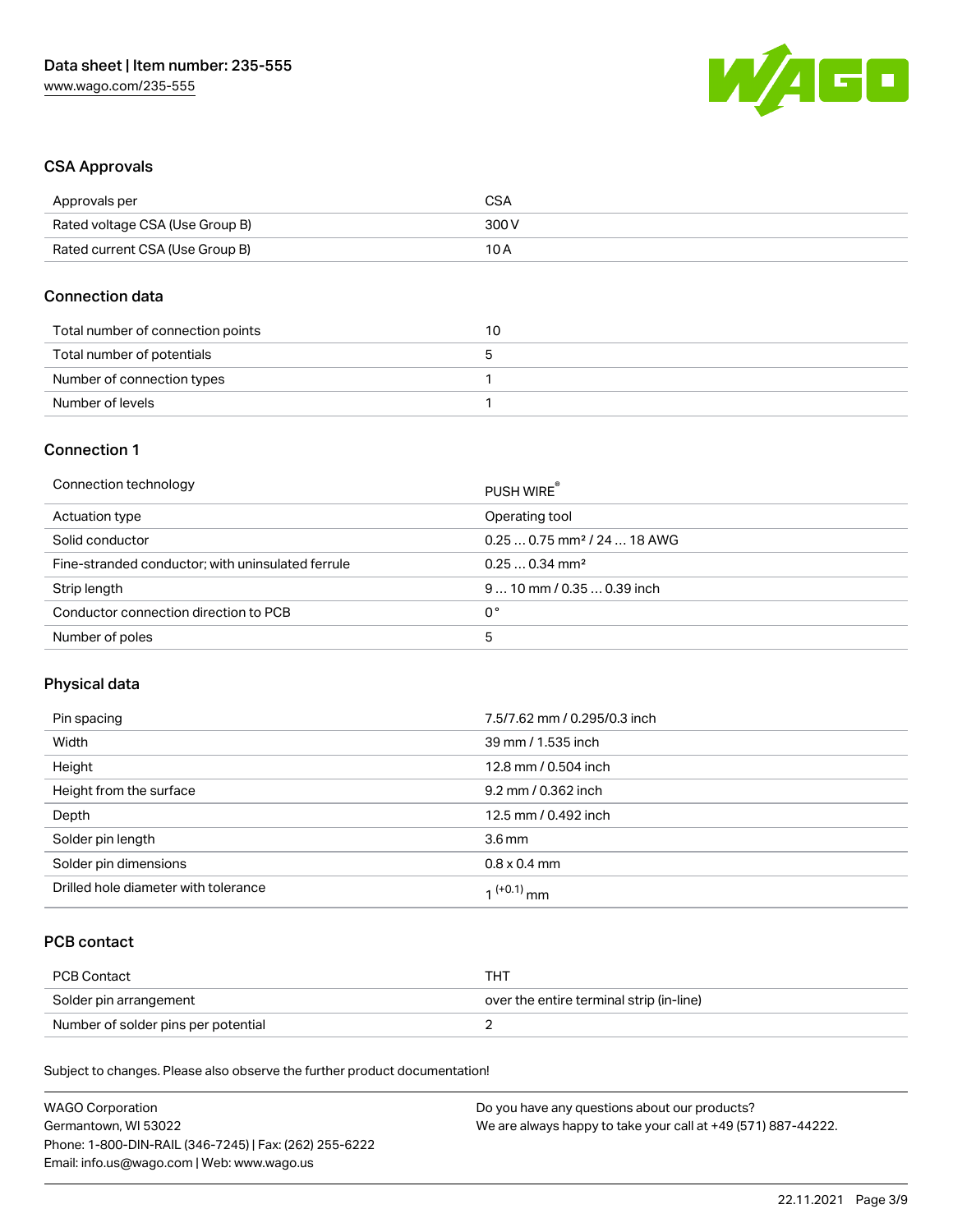

## CSA Approvals

| Approvals per                   | CSA   |
|---------------------------------|-------|
| Rated voltage CSA (Use Group B) | 300 V |
| Rated current CSA (Use Group B) | 10 A  |

### Connection data

| Total number of connection points | 10 |
|-----------------------------------|----|
| Total number of potentials        | G  |
| Number of connection types        |    |
| Number of levels                  |    |

# Connection 1

| Connection technology                             | PUSH WIRE                               |
|---------------------------------------------------|-----------------------------------------|
| Actuation type                                    | Operating tool                          |
| Solid conductor                                   | $0.250.75$ mm <sup>2</sup> / 24  18 AWG |
| Fine-stranded conductor; with uninsulated ferrule | $0.250.34$ mm <sup>2</sup>              |
| Strip length                                      | $910$ mm / 0.35  0.39 inch              |
| Conductor connection direction to PCB             | 0°                                      |
| Number of poles                                   | 5                                       |

# Physical data

| Pin spacing                          | 7.5/7.62 mm / 0.295/0.3 inch |
|--------------------------------------|------------------------------|
| Width                                | 39 mm / 1.535 inch           |
| Height                               | 12.8 mm / 0.504 inch         |
| Height from the surface              | 9.2 mm / 0.362 inch          |
| Depth                                | 12.5 mm / 0.492 inch         |
| Solder pin length                    | 3.6 <sub>mm</sub>            |
| Solder pin dimensions                | $0.8 \times 0.4$ mm          |
| Drilled hole diameter with tolerance | $1^{(+0.1)}$ mm              |

# PCB contact

| PCB Contact                         | TH .                                     |
|-------------------------------------|------------------------------------------|
| Solder pin arrangement              | over the entire terminal strip (in-line) |
| Number of solder pins per potential |                                          |

Subject to changes. Please also observe the further product documentation!

| <b>WAGO Corporation</b>                                | Do you have any questions about our products?                 |
|--------------------------------------------------------|---------------------------------------------------------------|
| Germantown, WI 53022                                   | We are always happy to take your call at +49 (571) 887-44222. |
| Phone: 1-800-DIN-RAIL (346-7245)   Fax: (262) 255-6222 |                                                               |
| Email: info.us@wago.com   Web: www.wago.us             |                                                               |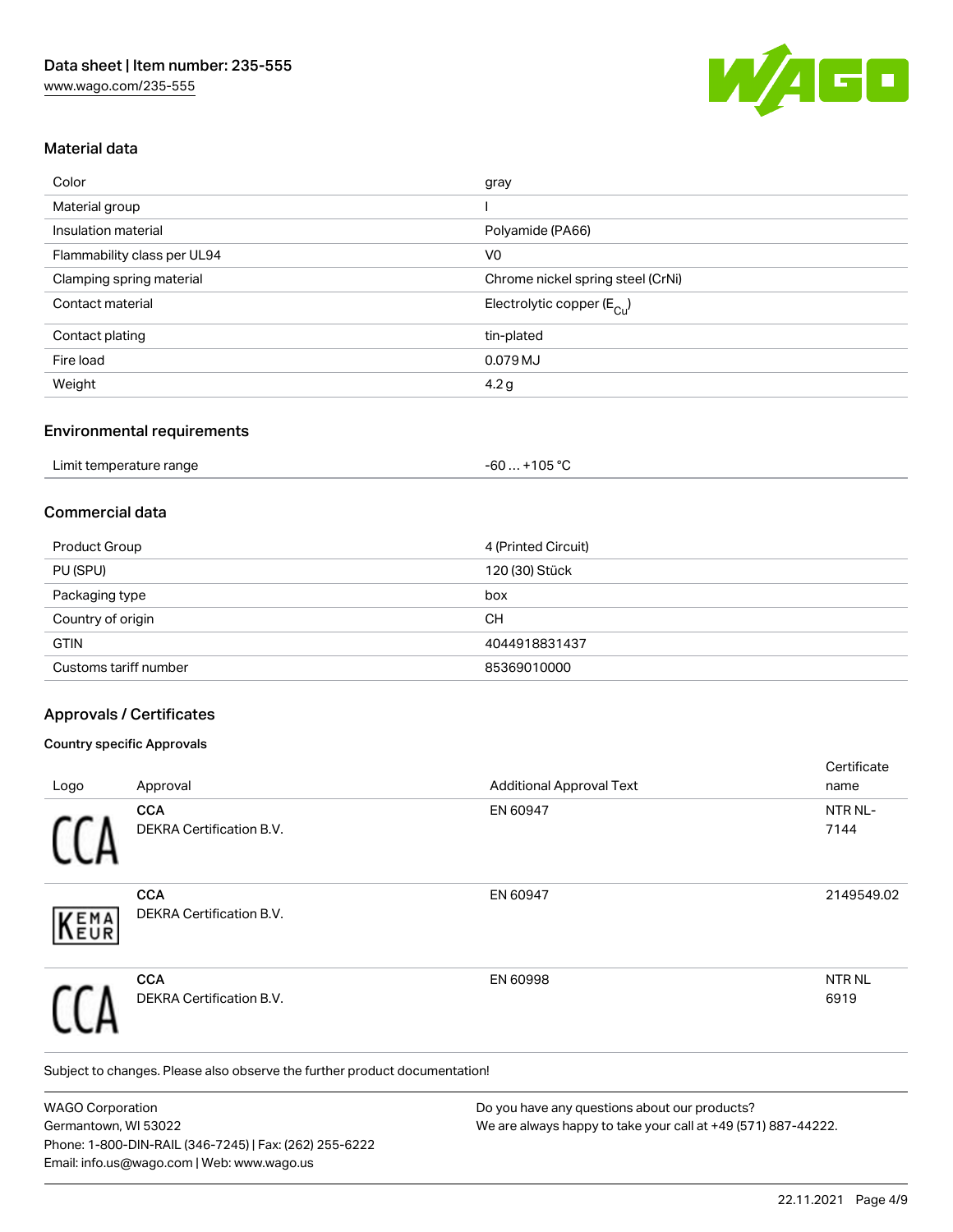

## Material data

| Color                       | gray                                    |
|-----------------------------|-----------------------------------------|
| Material group              |                                         |
| Insulation material         | Polyamide (PA66)                        |
| Flammability class per UL94 | V <sub>0</sub>                          |
| Clamping spring material    | Chrome nickel spring steel (CrNi)       |
| Contact material            | Electrolytic copper ( $E_{\text{Cu}}$ ) |
| Contact plating             | tin-plated                              |
| Fire load                   | 0.079 MJ                                |
| Weight                      | 4.2 <sub>g</sub>                        |

#### Environmental requirements

| Limit temperature range | +105 $^{\circ}$ C<br>. - 60. - |  |
|-------------------------|--------------------------------|--|
|-------------------------|--------------------------------|--|

## Commercial data

| <b>Product Group</b>  | 4 (Printed Circuit) |
|-----------------------|---------------------|
| PU (SPU)              | 120 (30) Stück      |
| Packaging type        | box                 |
| Country of origin     | <b>CH</b>           |
| <b>GTIN</b>           | 4044918831437       |
| Customs tariff number | 85369010000         |

## Approvals / Certificates

#### Country specific Approvals

|                                        |                                 | Certificate               |
|----------------------------------------|---------------------------------|---------------------------|
| Approval                               | <b>Additional Approval Text</b> | name                      |
| <b>CCA</b><br>DEKRA Certification B.V. | EN 60947                        | NTR NL-<br>7144           |
| <b>CCA</b><br>DEKRA Certification B.V. | EN 60947                        | 2149549.02                |
| <b>CCA</b><br>DEKRA Certification B.V. | EN 60998                        | NTR <sub>NL</sub><br>6919 |
|                                        | $\sqrt{\text{EMA}}$             |                           |

Subject to changes. Please also observe the further product documentation!

WAGO Corporation Germantown, WI 53022 Phone: 1-800-DIN-RAIL (346-7245) | Fax: (262) 255-6222 Email: info.us@wago.com | Web: www.wago.us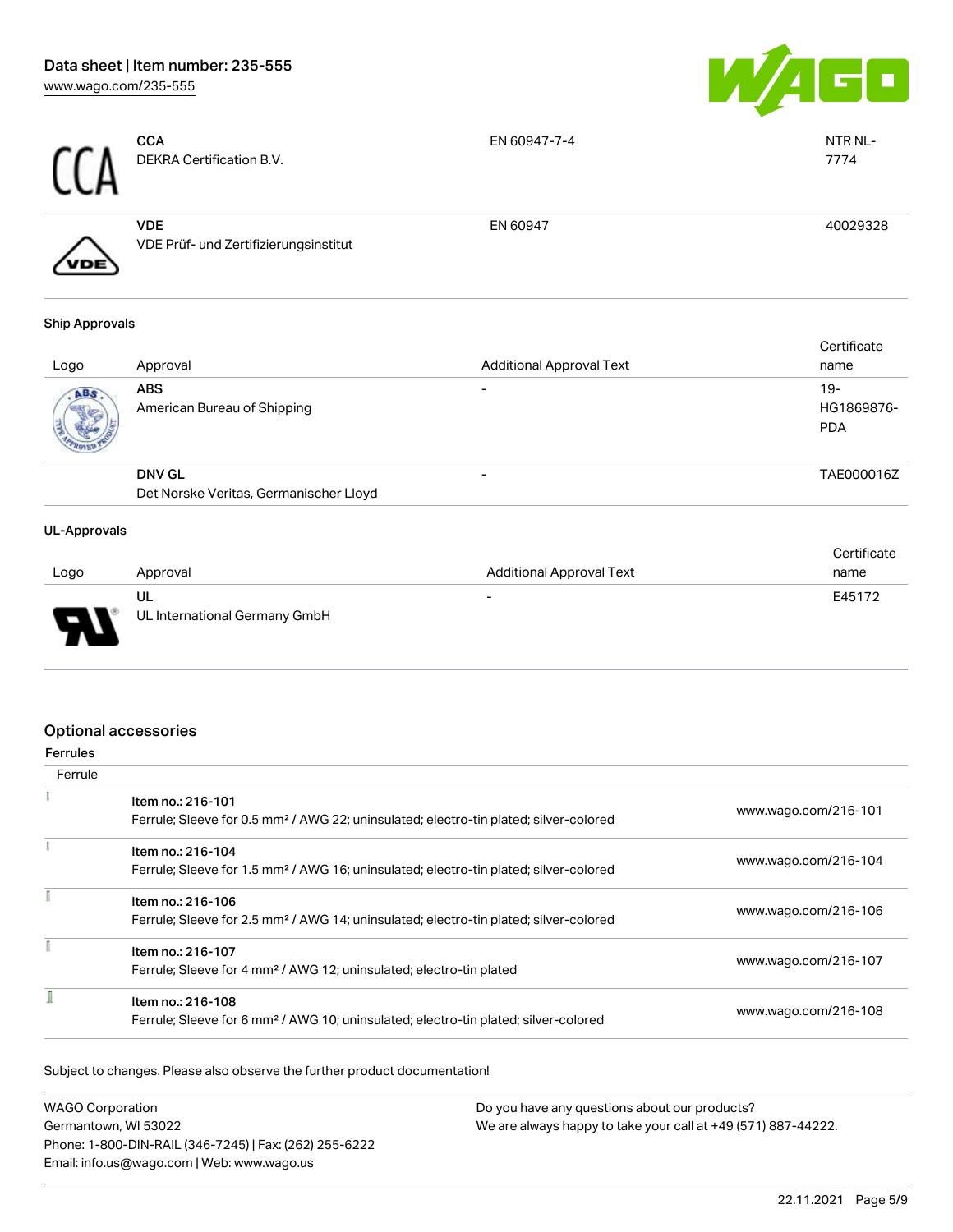

| <b>CCA</b> | <b>CCA</b><br>DEKRA Certification B.V.              | EN 60947-7-4 | NTR NL-<br>7774 |
|------------|-----------------------------------------------------|--------------|-----------------|
| /VDE       | <b>VDE</b><br>VDE Prüf- und Zertifizierungsinstitut | EN 60947     | 40029328        |

#### Ship Approvals

| Logo | Approval                                                | <b>Additional Approval Text</b> | Certificate<br>name               |
|------|---------------------------------------------------------|---------------------------------|-----------------------------------|
| ABS  | <b>ABS</b><br>American Bureau of Shipping               |                                 | $19-$<br>HG1869876-<br><b>PDA</b> |
|      | <b>DNV GL</b><br>Det Norske Veritas, Germanischer Lloyd | $\overline{\phantom{0}}$        | TAE000016Z                        |

#### UL-Approvals

| Logo | Approval                            | <b>Additional Approval Text</b> | Certificate<br>name |
|------|-------------------------------------|---------------------------------|---------------------|
| J    | UL<br>UL International Germany GmbH | $\overline{\phantom{0}}$        | E45172              |

# Optional accessories

| errules |  |
|---------|--|

| Ferrule |                                                                                                   |                      |
|---------|---------------------------------------------------------------------------------------------------|----------------------|
|         | Item no.: 216-101                                                                                 |                      |
|         | Ferrule; Sleeve for 0.5 mm <sup>2</sup> / AWG 22; uninsulated; electro-tin plated; silver-colored | www.wago.com/216-101 |
|         | Item no.: 216-104                                                                                 |                      |
|         | Ferrule; Sleeve for 1.5 mm <sup>2</sup> / AWG 16; uninsulated; electro-tin plated; silver-colored | www.wago.com/216-104 |
|         | Item no.: 216-106                                                                                 |                      |
|         | Ferrule; Sleeve for 2.5 mm <sup>2</sup> / AWG 14; uninsulated; electro-tin plated; silver-colored | www.wago.com/216-106 |
|         | Item no.: 216-107                                                                                 |                      |
|         | Ferrule; Sleeve for 4 mm <sup>2</sup> / AWG 12; uninsulated; electro-tin plated                   | www.wago.com/216-107 |
|         | Item no.: 216-108                                                                                 |                      |
|         | Ferrule; Sleeve for 6 mm <sup>2</sup> / AWG 10; uninsulated; electro-tin plated; silver-colored   | www.wago.com/216-108 |

Subject to changes. Please also observe the further product documentation!

| <b>WAGO Corporation</b>                                | Do you have any questions about our products?                 |
|--------------------------------------------------------|---------------------------------------------------------------|
| Germantown, WI 53022                                   | We are always happy to take your call at +49 (571) 887-44222. |
| Phone: 1-800-DIN-RAIL (346-7245)   Fax: (262) 255-6222 |                                                               |
| Email: info.us@wago.com   Web: www.wago.us             |                                                               |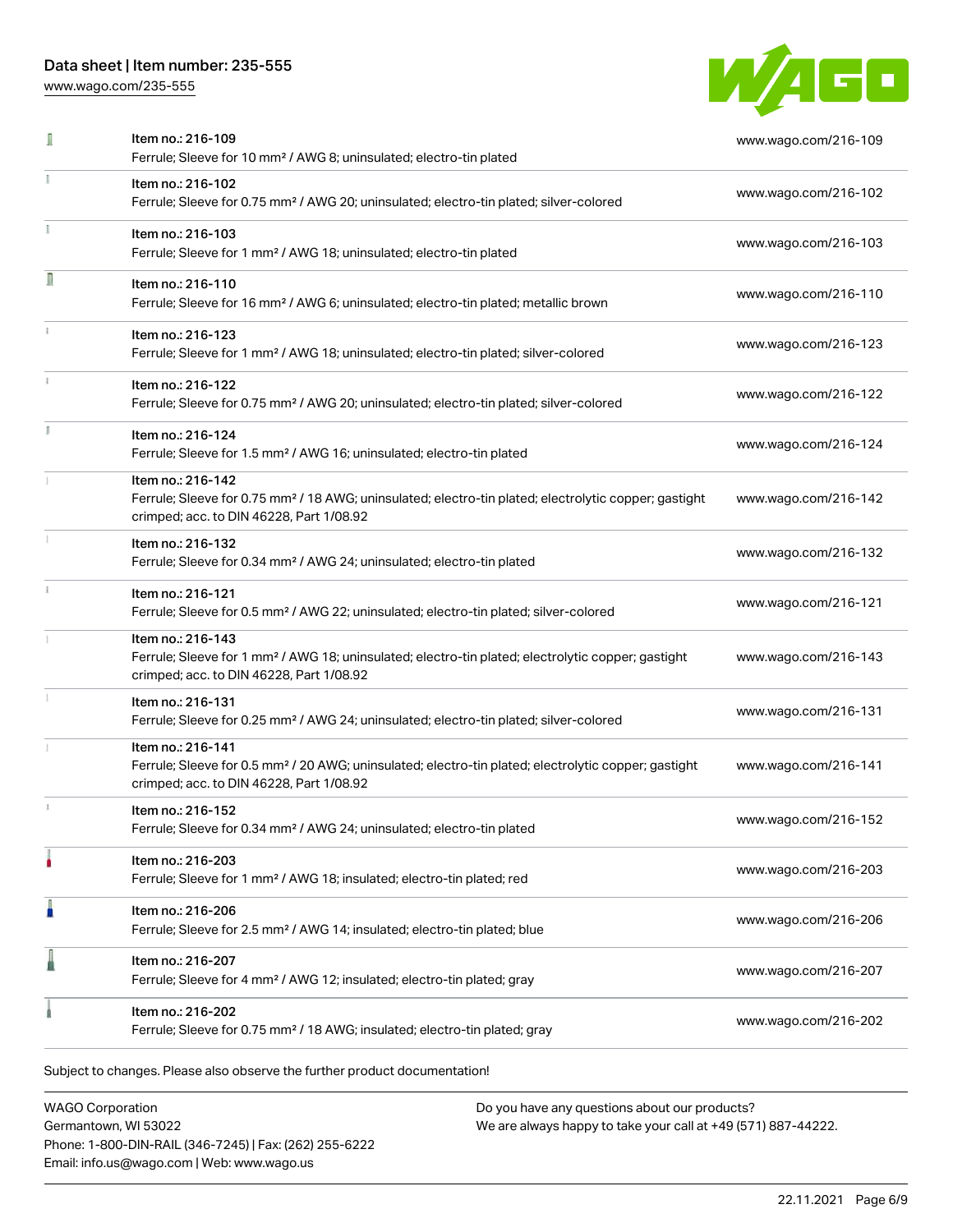[www.wago.com/235-555](http://www.wago.com/235-555)



|    | Item no.: 216-109<br>Ferrule; Sleeve for 10 mm <sup>2</sup> / AWG 8; uninsulated; electro-tin plated                                                                               | www.wago.com/216-109 |
|----|------------------------------------------------------------------------------------------------------------------------------------------------------------------------------------|----------------------|
|    | Item no.: 216-102<br>Ferrule; Sleeve for 0.75 mm <sup>2</sup> / AWG 20; uninsulated; electro-tin plated; silver-colored                                                            | www.wago.com/216-102 |
|    | Item no.: 216-103<br>Ferrule; Sleeve for 1 mm <sup>2</sup> / AWG 18; uninsulated; electro-tin plated                                                                               | www.wago.com/216-103 |
| Π  | Item no.: 216-110<br>Ferrule; Sleeve for 16 mm <sup>2</sup> / AWG 6; uninsulated; electro-tin plated; metallic brown                                                               | www.wago.com/216-110 |
|    | Item no.: 216-123<br>Ferrule; Sleeve for 1 mm <sup>2</sup> / AWG 18; uninsulated; electro-tin plated; silver-colored                                                               | www.wago.com/216-123 |
|    | Item no.: 216-122<br>Ferrule; Sleeve for 0.75 mm <sup>2</sup> / AWG 20; uninsulated; electro-tin plated; silver-colored                                                            | www.wago.com/216-122 |
| I. | Item no.: 216-124<br>Ferrule; Sleeve for 1.5 mm <sup>2</sup> / AWG 16; uninsulated; electro-tin plated                                                                             | www.wago.com/216-124 |
|    | Item no.: 216-142<br>Ferrule; Sleeve for 0.75 mm <sup>2</sup> / 18 AWG; uninsulated; electro-tin plated; electrolytic copper; gastight<br>crimped; acc. to DIN 46228, Part 1/08.92 | www.wago.com/216-142 |
|    | Item no.: 216-132<br>Ferrule; Sleeve for 0.34 mm <sup>2</sup> / AWG 24; uninsulated; electro-tin plated                                                                            | www.wago.com/216-132 |
| ī. | Item no.: 216-121<br>Ferrule; Sleeve for 0.5 mm <sup>2</sup> / AWG 22; uninsulated; electro-tin plated; silver-colored                                                             | www.wago.com/216-121 |
|    | Item no.: 216-143<br>Ferrule; Sleeve for 1 mm <sup>2</sup> / AWG 18; uninsulated; electro-tin plated; electrolytic copper; gastight<br>crimped; acc. to DIN 46228, Part 1/08.92    | www.wago.com/216-143 |
|    | Item no.: 216-131<br>Ferrule; Sleeve for 0.25 mm <sup>2</sup> / AWG 24; uninsulated; electro-tin plated; silver-colored                                                            | www.wago.com/216-131 |
|    | Item no.: 216-141<br>Ferrule; Sleeve for 0.5 mm <sup>2</sup> / 20 AWG; uninsulated; electro-tin plated; electrolytic copper; gastight<br>crimped; acc. to DIN 46228, Part 1/08.92  | www.wago.com/216-141 |
|    | Item no.: 216-152<br>Ferrule; Sleeve for 0.34 mm <sup>2</sup> / AWG 24; uninsulated; electro-tin plated                                                                            | www.wago.com/216-152 |
|    | Item no.: 216-203<br>Ferrule; Sleeve for 1 mm <sup>2</sup> / AWG 18; insulated; electro-tin plated; red                                                                            | www.wago.com/216-203 |
| Ä  | Item no.: 216-206<br>Ferrule; Sleeve for 2.5 mm <sup>2</sup> / AWG 14; insulated; electro-tin plated; blue                                                                         | www.wago.com/216-206 |
|    | Item no.: 216-207<br>Ferrule; Sleeve for 4 mm <sup>2</sup> / AWG 12; insulated; electro-tin plated; gray                                                                           | www.wago.com/216-207 |
|    | Item no.: 216-202<br>Ferrule; Sleeve for 0.75 mm <sup>2</sup> / 18 AWG; insulated; electro-tin plated; gray                                                                        | www.wago.com/216-202 |

WAGO Corporation Germantown, WI 53022 Phone: 1-800-DIN-RAIL (346-7245) | Fax: (262) 255-6222 Email: info.us@wago.com | Web: www.wago.us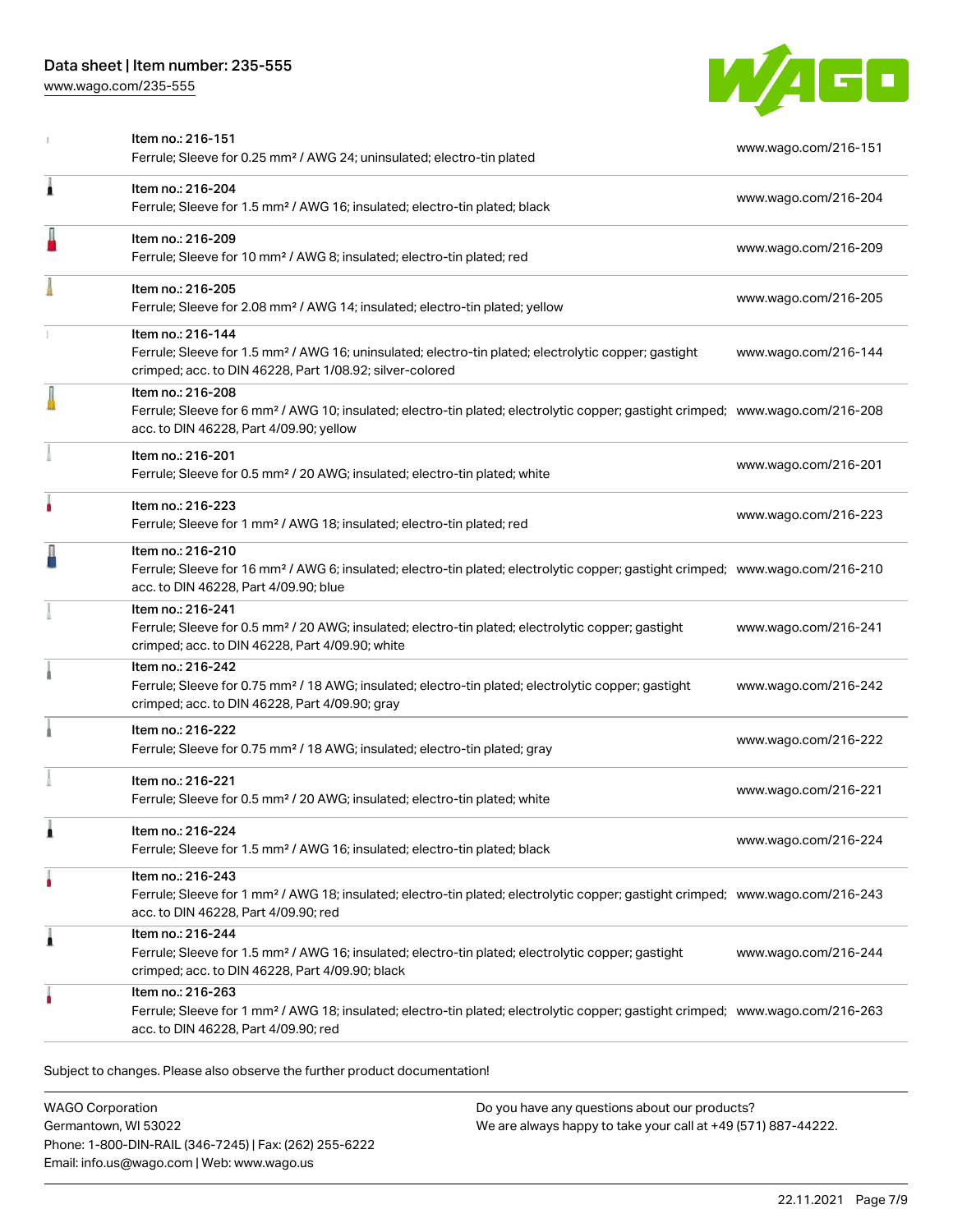[www.wago.com/235-555](http://www.wago.com/235-555)



|   | Item no.: 216-151<br>Ferrule; Sleeve for 0.25 mm <sup>2</sup> / AWG 24; uninsulated; electro-tin plated                                                                                                    | www.wago.com/216-151 |
|---|------------------------------------------------------------------------------------------------------------------------------------------------------------------------------------------------------------|----------------------|
| Â | Item no.: 216-204<br>Ferrule; Sleeve for 1.5 mm <sup>2</sup> / AWG 16; insulated; electro-tin plated; black                                                                                                | www.wago.com/216-204 |
|   | Item no.: 216-209<br>Ferrule; Sleeve for 10 mm <sup>2</sup> / AWG 8; insulated; electro-tin plated; red                                                                                                    | www.wago.com/216-209 |
|   | Item no.: 216-205<br>Ferrule; Sleeve for 2.08 mm <sup>2</sup> / AWG 14; insulated; electro-tin plated; yellow                                                                                              | www.wago.com/216-205 |
|   | Item no.: 216-144<br>Ferrule; Sleeve for 1.5 mm <sup>2</sup> / AWG 16; uninsulated; electro-tin plated; electrolytic copper; gastight<br>crimped; acc. to DIN 46228, Part 1/08.92; silver-colored          | www.wago.com/216-144 |
|   | Item no.: 216-208<br>Ferrule; Sleeve for 6 mm <sup>2</sup> / AWG 10; insulated; electro-tin plated; electrolytic copper; gastight crimped; www.wago.com/216-208<br>acc. to DIN 46228, Part 4/09.90; yellow |                      |
|   | Item no.: 216-201<br>Ferrule; Sleeve for 0.5 mm <sup>2</sup> / 20 AWG; insulated; electro-tin plated; white                                                                                                | www.wago.com/216-201 |
|   | Item no.: 216-223<br>Ferrule; Sleeve for 1 mm <sup>2</sup> / AWG 18; insulated; electro-tin plated; red                                                                                                    | www.wago.com/216-223 |
|   | Item no.: 216-210<br>Ferrule; Sleeve for 16 mm <sup>2</sup> / AWG 6; insulated; electro-tin plated; electrolytic copper; gastight crimped; www.wago.com/216-210<br>acc. to DIN 46228, Part 4/09.90; blue   |                      |
|   | Item no.: 216-241<br>Ferrule; Sleeve for 0.5 mm <sup>2</sup> / 20 AWG; insulated; electro-tin plated; electrolytic copper; gastight<br>crimped; acc. to DIN 46228, Part 4/09.90; white                     | www.wago.com/216-241 |
|   | Item no.: 216-242<br>Ferrule; Sleeve for 0.75 mm <sup>2</sup> / 18 AWG; insulated; electro-tin plated; electrolytic copper; gastight<br>crimped; acc. to DIN 46228, Part 4/09.90; gray                     | www.wago.com/216-242 |
|   | Item no.: 216-222<br>Ferrule; Sleeve for 0.75 mm <sup>2</sup> / 18 AWG; insulated; electro-tin plated; gray                                                                                                | www.wago.com/216-222 |
|   | Item no.: 216-221<br>Ferrule; Sleeve for 0.5 mm <sup>2</sup> / 20 AWG; insulated; electro-tin plated; white                                                                                                | www.wago.com/216-221 |
|   | Item no.: 216-224<br>Ferrule; Sleeve for 1.5 mm <sup>2</sup> / AWG 16; insulated; electro-tin plated; black                                                                                                | www.wago.com/216-224 |
|   | Item no.: 216-243<br>Ferrule; Sleeve for 1 mm <sup>2</sup> / AWG 18; insulated; electro-tin plated; electrolytic copper; gastight crimped; www.wago.com/216-243<br>acc. to DIN 46228, Part 4/09.90; red    |                      |
| Â | Item no.: 216-244<br>Ferrule; Sleeve for 1.5 mm <sup>2</sup> / AWG 16; insulated; electro-tin plated; electrolytic copper; gastight<br>crimped; acc. to DIN 46228, Part 4/09.90; black                     | www.wago.com/216-244 |
|   | Item no.: 216-263<br>Ferrule; Sleeve for 1 mm <sup>2</sup> / AWG 18; insulated; electro-tin plated; electrolytic copper; gastight crimped; www.wago.com/216-263<br>acc. to DIN 46228, Part 4/09.90; red    |                      |

Subject to changes. Please also observe the further product documentation!

| <b>WAGO Corporation</b>                                |
|--------------------------------------------------------|
| Germantown, WI 53022                                   |
| Phone: 1-800-DIN-RAIL (346-7245)   Fax: (262) 255-6222 |
| Email: info.us@wago.com   Web: www.wago.us             |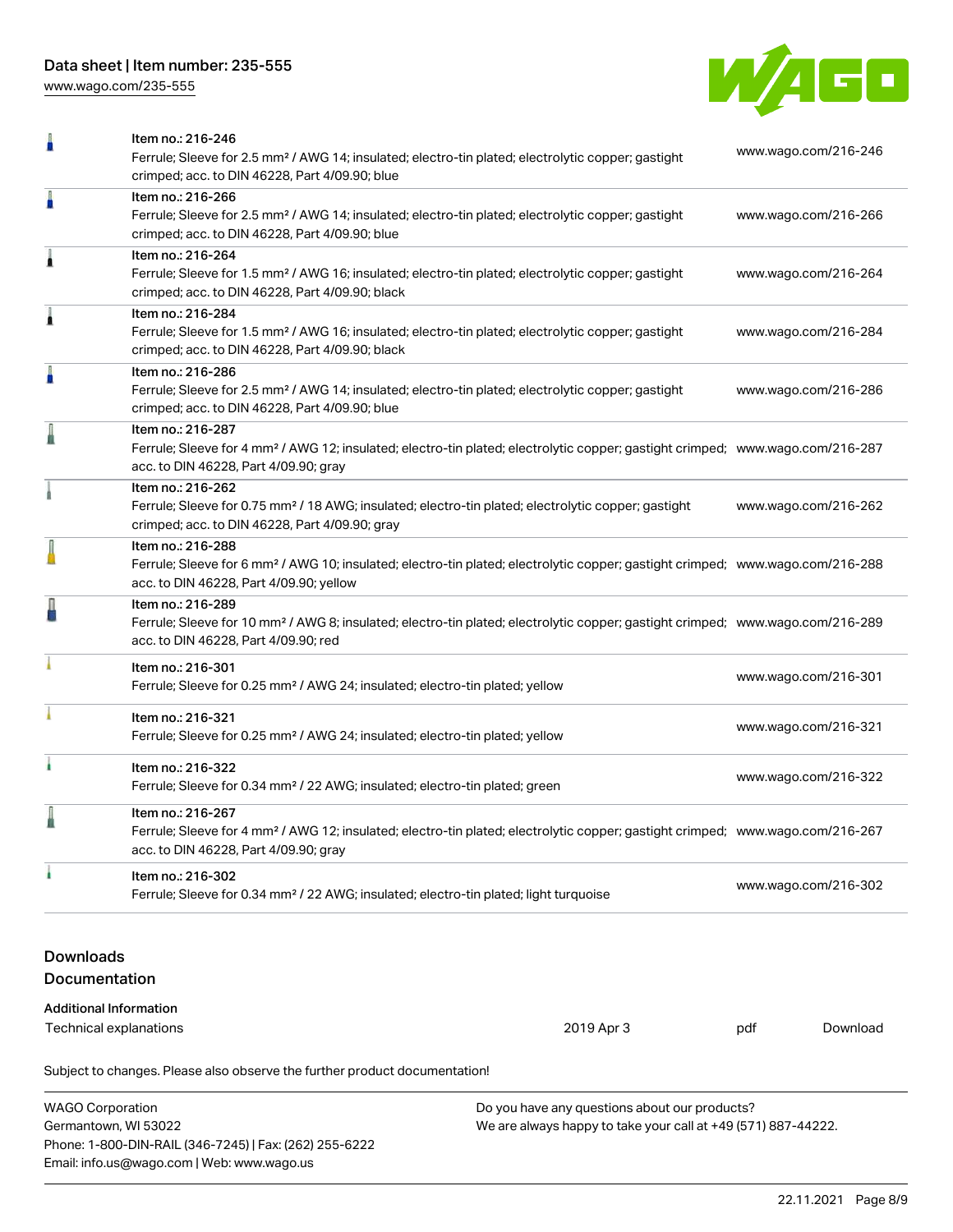[www.wago.com/235-555](http://www.wago.com/235-555)



| Ω                                 | Item no.: 216-246<br>Ferrule; Sleeve for 2.5 mm <sup>2</sup> / AWG 14; insulated; electro-tin plated; electrolytic copper; gastight<br>crimped; acc. to DIN 46228, Part 4/09.90; blue                      |                                                                                                                |                      | www.wago.com/216-246 |  |
|-----------------------------------|------------------------------------------------------------------------------------------------------------------------------------------------------------------------------------------------------------|----------------------------------------------------------------------------------------------------------------|----------------------|----------------------|--|
| Ä                                 | Item no.: 216-266<br>Ferrule; Sleeve for 2.5 mm <sup>2</sup> / AWG 14; insulated; electro-tin plated; electrolytic copper; gastight<br>crimped; acc. to DIN 46228, Part 4/09.90; blue                      |                                                                                                                | www.wago.com/216-266 |                      |  |
| Â                                 | Item no.: 216-264<br>Ferrule; Sleeve for 1.5 mm <sup>2</sup> / AWG 16; insulated; electro-tin plated; electrolytic copper; gastight<br>crimped; acc. to DIN 46228, Part 4/09.90; black                     |                                                                                                                | www.wago.com/216-264 |                      |  |
| Â                                 | Item no.: 216-284<br>crimped; acc. to DIN 46228, Part 4/09.90; black                                                                                                                                       | Ferrule; Sleeve for 1.5 mm <sup>2</sup> / AWG 16; insulated; electro-tin plated; electrolytic copper; gastight |                      | www.wago.com/216-284 |  |
| Å                                 | Item no.: 216-286<br>Ferrule; Sleeve for 2.5 mm <sup>2</sup> / AWG 14; insulated; electro-tin plated; electrolytic copper; gastight<br>crimped; acc. to DIN 46228, Part 4/09.90; blue                      |                                                                                                                | www.wago.com/216-286 |                      |  |
|                                   | Item no.: 216-287<br>Ferrule; Sleeve for 4 mm <sup>2</sup> / AWG 12; insulated; electro-tin plated; electrolytic copper; gastight crimped; www.wago.com/216-287<br>acc. to DIN 46228, Part 4/09.90; gray   |                                                                                                                |                      |                      |  |
|                                   | Item no.: 216-262<br>Ferrule; Sleeve for 0.75 mm <sup>2</sup> / 18 AWG; insulated; electro-tin plated; electrolytic copper; gastight<br>crimped; acc. to DIN 46228, Part 4/09.90; gray                     |                                                                                                                | www.wago.com/216-262 |                      |  |
|                                   | Item no.: 216-288<br>Ferrule; Sleeve for 6 mm <sup>2</sup> / AWG 10; insulated; electro-tin plated; electrolytic copper; gastight crimped; www.wago.com/216-288<br>acc. to DIN 46228, Part 4/09.90; yellow |                                                                                                                |                      |                      |  |
|                                   | Item no.: 216-289<br>Ferrule; Sleeve for 10 mm <sup>2</sup> / AWG 8; insulated; electro-tin plated; electrolytic copper; gastight crimped; www.wago.com/216-289<br>acc. to DIN 46228, Part 4/09.90; red    |                                                                                                                |                      |                      |  |
|                                   | Item no.: 216-301<br>Ferrule; Sleeve for 0.25 mm <sup>2</sup> / AWG 24; insulated; electro-tin plated; yellow                                                                                              |                                                                                                                | www.wago.com/216-301 |                      |  |
|                                   | Item no.: 216-321<br>Ferrule; Sleeve for 0.25 mm <sup>2</sup> / AWG 24; insulated; electro-tin plated; yellow                                                                                              |                                                                                                                | www.wago.com/216-321 |                      |  |
| ì.                                | Item no.: 216-322<br>Ferrule; Sleeve for 0.34 mm <sup>2</sup> / 22 AWG; insulated; electro-tin plated; green                                                                                               |                                                                                                                | www.wago.com/216-322 |                      |  |
|                                   | Item no.: 216-267<br>Ferrule; Sleeve for 4 mm <sup>2</sup> / AWG 12; insulated; electro-tin plated; electrolytic copper; gastight crimped; www.wago.com/216-267<br>acc. to DIN 46228, Part 4/09.90; gray   |                                                                                                                |                      |                      |  |
| i.                                | Item no.: 216-302<br>Ferrule; Sleeve for 0.34 mm <sup>2</sup> / 22 AWG; insulated; electro-tin plated; light turquoise                                                                                     |                                                                                                                | www.wago.com/216-302 |                      |  |
| <b>Downloads</b><br>Documentation |                                                                                                                                                                                                            |                                                                                                                |                      |                      |  |
| <b>Additional Information</b>     |                                                                                                                                                                                                            |                                                                                                                |                      |                      |  |
|                                   | Technical explanations                                                                                                                                                                                     | 2019 Apr 3                                                                                                     | pdf                  | Download             |  |
|                                   | Subject to changes. Please also observe the further product documentation!                                                                                                                                 |                                                                                                                |                      |                      |  |

| <b>WAGO Corporation</b>                                | Do you have any questions about our products?                 |
|--------------------------------------------------------|---------------------------------------------------------------|
| Germantown, WI 53022                                   | We are always happy to take your call at +49 (571) 887-44222. |
| Phone: 1-800-DIN-RAIL (346-7245)   Fax: (262) 255-6222 |                                                               |
| Email: info.us@wago.com   Web: www.wago.us             |                                                               |